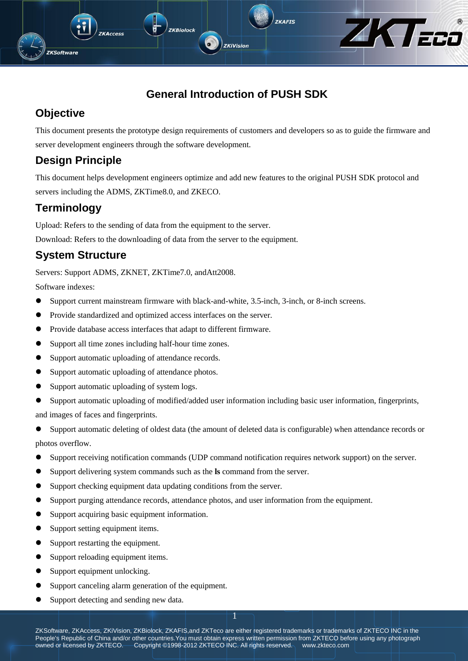

**ZKiVision** 

ZKTECO

## **Objective**

**ZKSoftware** 

This document presents the prototype design requirements of customers and developers so as to guide the firmware and server development engineers through the software development.

## **Design Principle**

**KAccess** 

This document helps development engineers optimize and add new features to the original PUSH SDK protocol and servers including the ADMS, ZKTime8.0, and ZKECO.

## **Terminology**

Upload: Refers to the sending of data from the equipment to the server.

Download: Refers to the downloading of data from the server to the equipment.

**ZKBiolock** 

## **System Structure**

Servers: Support ADMS, ZKNET, ZKTime7.0, andAtt2008.

Software indexes:

- Support current mainstream firmware with black-and-white, 3.5-inch, 3-inch, or 8-inch screens.
- Provide standardized and optimized access interfaces on the server.
- Provide database access interfaces that adapt to different firmware.
- Support all time zones including half-hour time zones.
- Support automatic uploading of attendance records.
- Support automatic uploading of attendance photos.
- Support automatic uploading of system logs.
- Support automatic uploading of modified/added user information including basic user information, fingerprints,

and images of faces and fingerprints.

Support automatic deleting of oldest data (the amount of deleted data is configurable) when attendance records or photos overflow.

- Support receiving notification commands (UDP command notification requires network support) on the server.
- Support delivering system commands such as the **ls** command from the server.
- Support checking equipment data updating conditions from the server.
- Support purging attendance records, attendance photos, and user information from the equipment.
- Support acquiring basic equipment information.
- Support setting equipment items.
- Support restarting the equipment.
- Support reloading equipment items.
- Support equipment unlocking.
- Support canceling alarm generation of the equipment.
- Support detecting and sending new data.

ZKSoftware, ZKAccess, ZKiVision, ZKBiolock, ZKAFIS,and ZKTeco are either registered trademarks or trademarks of ZKTECO INC in the People's Republic of China and/or other countries. You must obtain express written permission from ZKTECO before using any photograph owned or licensed by ZKTECO. Copyright ©1998-2012 ZKTECO INC. All rights reserved. www.zkteco.com

1